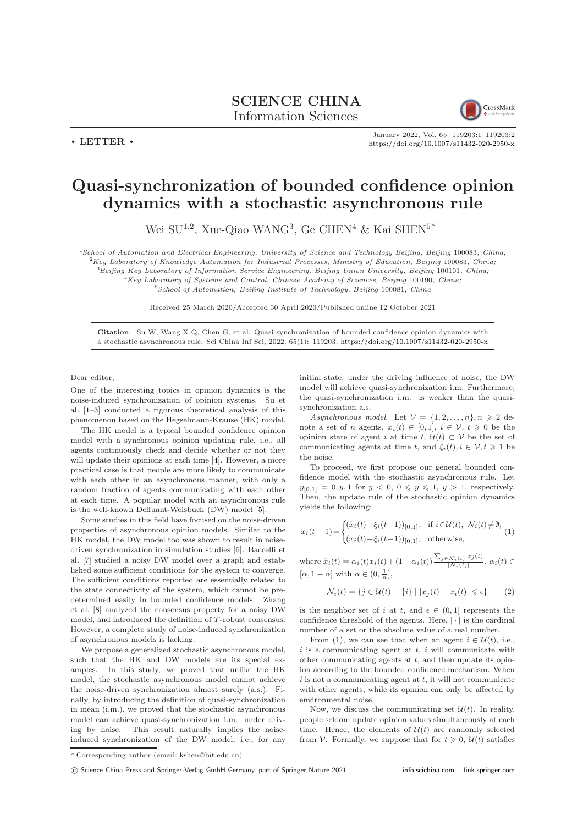## SCIENCE CHINA Information Sciences



 $\cdot$  LETTER  $\cdot$ 

January 2022, Vol. 65 119203:1–119203[:2](#page-1-0) <https://doi.org/10.1007/s11432-020-2950-x>

## Quasi-synchronization of bounded confidence opinion dynamics with a stochastic asynchronous rule

Wei SU<sup>1,2</sup>, Xue-Qiao WANG<sup>3</sup>, Ge CHEN<sup>4</sup> & Kai SHEN<sup>5\*</sup>

<sup>1</sup>School of Automation and Electrical Engineering, University of Science and Technology Beijing, Beijing 100083, China;  ${}^{2}$ Key Laboratory of Knowledge Automation for Industrial Processes, Ministry of Education, Beijing 100083, China;

<sup>3</sup>Beijing Key Laboratory of Information Service Engineering, Beijing Union University, Beijing 100101, China;

 $4Key Laboratory$  of Systems and Control, Chinese Academy of Sciences, Beijing 100190, China;

 $5$ School of Automation, Beijing Institute of Technology, Beijing 100081, China

Received 25 March 2020/Accepted 30 April 2020/Published online 12 October 2021

Citation Su W, Wang X-Q, Chen G, et al. Quasi-synchronization of bounded confidence opinion dynamics with a stochastic asynchronous rule. Sci China Inf Sci, 2022, 65(1): 119203, <https://doi.org/10.1007/s11432-020-2950-x>

Dear editor,

One of the interesting topics in opinion dynamics is the noise-induced synchronization of opinion systems. Su et al. [\[1–](#page-1-1)[3\]](#page-1-2) conducted a rigorous theoretical analysis of this phenomenon based on the Hegselmann-Krause (HK) model.

The HK model is a typical bounded confidence opinion model with a synchronous opinion updating rule, i.e., all agents continuously check and decide whether or not they will update their opinions at each time [\[4\]](#page-1-3). However, a more practical case is that people are more likely to communicate with each other in an asynchronous manner, with only a random fraction of agents communicating with each other at each time. A popular model with an asynchronous rule is the well-known Deffuant-Weisbuch (DW) model [\[5\]](#page-1-4).

Some studies in this field have focused on the noise-driven properties of asynchronous opinion models. Similar to the HK model, the DW model too was shown to result in noisedriven synchronization in simulation studies [\[6\]](#page-1-5). Baccelli et al. [\[7\]](#page-1-6) studied a noisy DW model over a graph and established some sufficient conditions for the system to converge. The sufficient conditions reported are essentially related to the state connectivity of the system, which cannot be predetermined easily in bounded confidence models. Zhang et al. [\[8\]](#page-1-7) analyzed the consensus property for a noisy DW model, and introduced the definition of T-robust consensus. However, a complete study of noise-induced synchronization of asynchronous models is lacking.

We propose a generalized stochastic asynchronous model. such that the HK and DW models are its special examples. In this study, we proved that unlike the HK model, the stochastic asynchronous model cannot achieve the noise-driven synchronization almost surely (a.s.). Finally, by introducing the definition of quasi-synchronization in mean (i.m.), we proved that the stochastic asynchronous model can achieve quasi-synchronization i.m. under driving by noise. This result naturally implies the noiseinduced synchronization of the DW model, i.e., for any

initial state, under the driving influence of noise, the DW model will achieve quasi-synchronization i.m. Furthermore, the quasi-synchronization i.m. is weaker than the quasisynchronization a.s.

Asynchronous model. Let  $\mathcal{V} = \{1, 2, ..., n\}, n \geq 2$  denote a set of n agents,  $x_i(t) \in [0,1], i \in \mathcal{V}, t \geq 0$  be the opinion state of agent i at time t,  $\mathcal{U}(t) \subset \mathcal{V}$  be the set of communicating agents at time t, and  $\xi_i(t)$ ,  $i \in \mathcal{V}, t \geq 1$  be the noise.

To proceed, we first propose our general bounded confidence model with the stochastic asynchronous rule. Let  $y_{[0,1]} = 0, y, 1$  for  $y < 0, 0 \le y \le 1, y > 1$ , respectively. Then, the update rule of the stochastic opinion dynamics yields the following:

<span id="page-0-0"></span>
$$
x_i(t+1) = \begin{cases} (\tilde{x}_i(t) + \xi_i(t+1))_{[0,1]}, & \text{if } i \in \mathcal{U}(t), \ \mathcal{N}_i(t) \neq \emptyset; \\ (x_i(t) + \xi_i(t+1))_{[0,1]}, & \text{otherwise,} \end{cases}
$$
(1)

where  $\tilde{x}_i(t) = \alpha_i(t)x_i(t) + (1 - \alpha_i(t)) \frac{\sum_{j \in \mathcal{N}_i(t)} x_j(t)}{|\mathcal{N}_i(t)|}$  $\frac{N_i(t)-j(t)}{|N_i(t)|}, \alpha_i(t) \in$  $[\alpha, 1-\alpha]$  with  $\alpha \in (0, \frac{1}{n}],$ 

$$
\mathcal{N}_i(t) = \{ j \in \mathcal{U}(t) - \{i\} \mid |x_j(t) - x_i(t)| \leq \epsilon \}
$$
 (2)

is the neighbor set of i at t, and  $\epsilon \in (0,1]$  represents the confidence threshold of the agents. Here,  $|\cdot|$  is the cardinal number of a set or the absolute value of a real number.

From [\(1\)](#page-0-0), we can see that when an agent  $i \in \mathcal{U}(t)$ , i.e., i is a communicating agent at  $t$ , i will communicate with other communicating agents at  $t$ , and then update its opinion according to the bounded confidence mechanism. When  $i$  is not a communicating agent at  $t$ , it will not communicate with other agents, while its opinion can only be affected by environmental noise.

Now, we discuss the communicating set  $\mathcal{U}(t)$ . In reality, people seldom update opinion values simultaneously at each time. Hence, the elements of  $\mathcal{U}(t)$  are randomly selected from V. Formally, we suppose that for  $t \geq 0$ ,  $\mathcal{U}(t)$  satisfies

<sup>\*</sup> Corresponding author (email: kshen@bit.edu.cn)

<sup>(</sup>C) Science China Press and Springer-Verlag GmbH Germany, part of Springer Nature 2021 <info.scichina.com><link.springer.com>